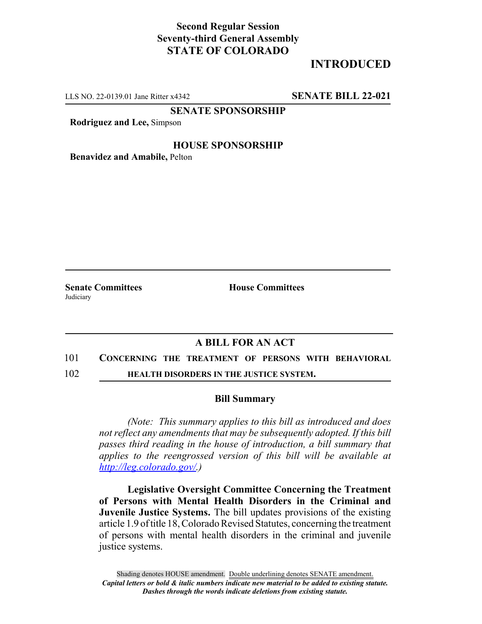## **Second Regular Session Seventy-third General Assembly STATE OF COLORADO**

# **INTRODUCED**

LLS NO. 22-0139.01 Jane Ritter x4342 **SENATE BILL 22-021**

**SENATE SPONSORSHIP**

**Rodriguez and Lee,** Simpson

### **HOUSE SPONSORSHIP**

**Benavidez and Amabile,** Pelton

**Judiciary** 

**Senate Committees House Committees** 

## **A BILL FOR AN ACT**

#### 101 **CONCERNING THE TREATMENT OF PERSONS WITH BEHAVIORAL**

102 **HEALTH DISORDERS IN THE JUSTICE SYSTEM.**

#### **Bill Summary**

*(Note: This summary applies to this bill as introduced and does not reflect any amendments that may be subsequently adopted. If this bill passes third reading in the house of introduction, a bill summary that applies to the reengrossed version of this bill will be available at http://leg.colorado.gov/.)*

**Legislative Oversight Committee Concerning the Treatment of Persons with Mental Health Disorders in the Criminal and Juvenile Justice Systems.** The bill updates provisions of the existing article 1.9 of title 18, Colorado Revised Statutes, concerning the treatment of persons with mental health disorders in the criminal and juvenile justice systems.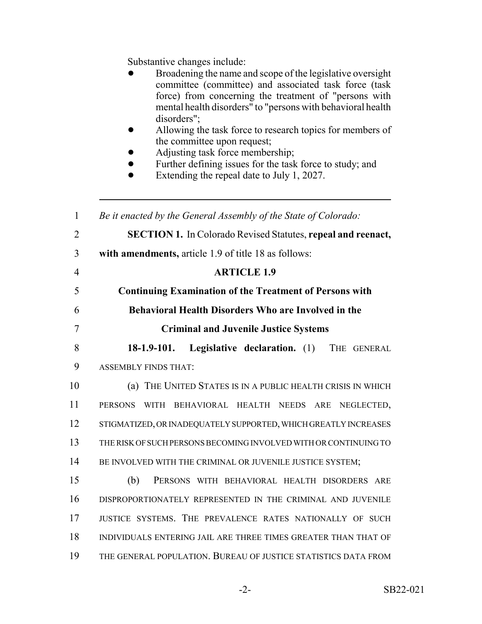Substantive changes include:

| эйозанн ус спандсэ тіспийс.<br>Broadening the name and scope of the legislative oversight<br>committee (committee) and associated task force (task<br>force) from concerning the treatment of "persons with<br>mental health disorders" to "persons with behavioral health<br>disorders";<br>Allowing the task force to research topics for members of<br>the committee upon request;<br>Adjusting task force membership;<br>Further defining issues for the task force to study; and<br>Extending the repeal date to July 1, 2027. |
|-------------------------------------------------------------------------------------------------------------------------------------------------------------------------------------------------------------------------------------------------------------------------------------------------------------------------------------------------------------------------------------------------------------------------------------------------------------------------------------------------------------------------------------|
| Be it enacted by the General Assembly of the State of Colorado:                                                                                                                                                                                                                                                                                                                                                                                                                                                                     |
| <b>SECTION 1.</b> In Colorado Revised Statutes, repeal and reenact,                                                                                                                                                                                                                                                                                                                                                                                                                                                                 |
| with amendments, article 1.9 of title 18 as follows:                                                                                                                                                                                                                                                                                                                                                                                                                                                                                |
| <b>ARTICLE 1.9</b>                                                                                                                                                                                                                                                                                                                                                                                                                                                                                                                  |
| <b>Continuing Examination of the Treatment of Persons with</b>                                                                                                                                                                                                                                                                                                                                                                                                                                                                      |
| <b>Behavioral Health Disorders Who are Involved in the</b>                                                                                                                                                                                                                                                                                                                                                                                                                                                                          |
| <b>Criminal and Juvenile Justice Systems</b>                                                                                                                                                                                                                                                                                                                                                                                                                                                                                        |
| 18-1.9-101. Legislative declaration. (1) THE GENERAL                                                                                                                                                                                                                                                                                                                                                                                                                                                                                |
| <b>ASSEMBLY FINDS THAT:</b>                                                                                                                                                                                                                                                                                                                                                                                                                                                                                                         |
| (a) THE UNITED STATES IS IN A PUBLIC HEALTH CRISIS IN WHICH                                                                                                                                                                                                                                                                                                                                                                                                                                                                         |
| <b>PERSONS</b><br>WITH BEHAVIORAL HEALTH NEEDS<br>ARE NEGLECTED,                                                                                                                                                                                                                                                                                                                                                                                                                                                                    |
| STIGMATIZED, OR INADEQUATELY SUPPORTED, WHICH GREATLY INCREASES                                                                                                                                                                                                                                                                                                                                                                                                                                                                     |
| THE RISK OF SUCH PERSONS BECOMING INVOLVED WITH OR CONTINUING TO                                                                                                                                                                                                                                                                                                                                                                                                                                                                    |
| BE INVOLVED WITH THE CRIMINAL OR JUVENILE JUSTICE SYSTEM;                                                                                                                                                                                                                                                                                                                                                                                                                                                                           |
| (b)<br>PERSONS WITH BEHAVIORAL HEALTH DISORDERS ARE                                                                                                                                                                                                                                                                                                                                                                                                                                                                                 |
| DISPROPORTIONATELY REPRESENTED IN THE CRIMINAL AND JUVENILE                                                                                                                                                                                                                                                                                                                                                                                                                                                                         |
| JUSTICE SYSTEMS. THE PREVALENCE RATES NATIONALLY OF SUCH                                                                                                                                                                                                                                                                                                                                                                                                                                                                            |
| INDIVIDUALS ENTERING JAIL ARE THREE TIMES GREATER THAN THAT OF                                                                                                                                                                                                                                                                                                                                                                                                                                                                      |
| THE GENERAL POPULATION. BUREAU OF JUSTICE STATISTICS DATA FROM                                                                                                                                                                                                                                                                                                                                                                                                                                                                      |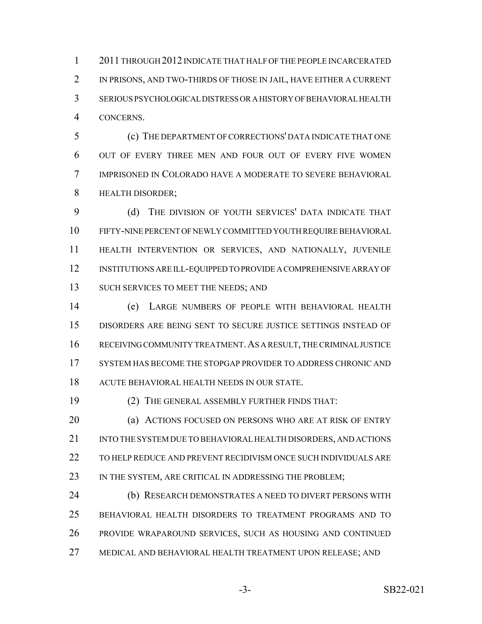2011 THROUGH 2012 INDICATE THAT HALF OF THE PEOPLE INCARCERATED IN PRISONS, AND TWO-THIRDS OF THOSE IN JAIL, HAVE EITHER A CURRENT SERIOUS PSYCHOLOGICAL DISTRESS OR A HISTORY OF BEHAVIORAL HEALTH CONCERNS.

 (c) THE DEPARTMENT OF CORRECTIONS' DATA INDICATE THAT ONE OUT OF EVERY THREE MEN AND FOUR OUT OF EVERY FIVE WOMEN IMPRISONED IN COLORADO HAVE A MODERATE TO SEVERE BEHAVIORAL HEALTH DISORDER;

 (d) THE DIVISION OF YOUTH SERVICES' DATA INDICATE THAT FIFTY-NINE PERCENT OF NEWLY COMMITTED YOUTH REQUIRE BEHAVIORAL HEALTH INTERVENTION OR SERVICES, AND NATIONALLY, JUVENILE INSTITUTIONS ARE ILL-EQUIPPED TO PROVIDE A COMPREHENSIVE ARRAY OF 13 SUCH SERVICES TO MEET THE NEEDS; AND

 (e) LARGE NUMBERS OF PEOPLE WITH BEHAVIORAL HEALTH DISORDERS ARE BEING SENT TO SECURE JUSTICE SETTINGS INSTEAD OF RECEIVING COMMUNITY TREATMENT.AS A RESULT, THE CRIMINAL JUSTICE SYSTEM HAS BECOME THE STOPGAP PROVIDER TO ADDRESS CHRONIC AND ACUTE BEHAVIORAL HEALTH NEEDS IN OUR STATE.

(2) THE GENERAL ASSEMBLY FURTHER FINDS THAT:

**(a) ACTIONS FOCUSED ON PERSONS WHO ARE AT RISK OF ENTRY**  INTO THE SYSTEM DUE TO BEHAVIORAL HEALTH DISORDERS, AND ACTIONS TO HELP REDUCE AND PREVENT RECIDIVISM ONCE SUCH INDIVIDUALS ARE 23 IN THE SYSTEM, ARE CRITICAL IN ADDRESSING THE PROBLEM;

 (b) RESEARCH DEMONSTRATES A NEED TO DIVERT PERSONS WITH BEHAVIORAL HEALTH DISORDERS TO TREATMENT PROGRAMS AND TO PROVIDE WRAPAROUND SERVICES, SUCH AS HOUSING AND CONTINUED MEDICAL AND BEHAVIORAL HEALTH TREATMENT UPON RELEASE; AND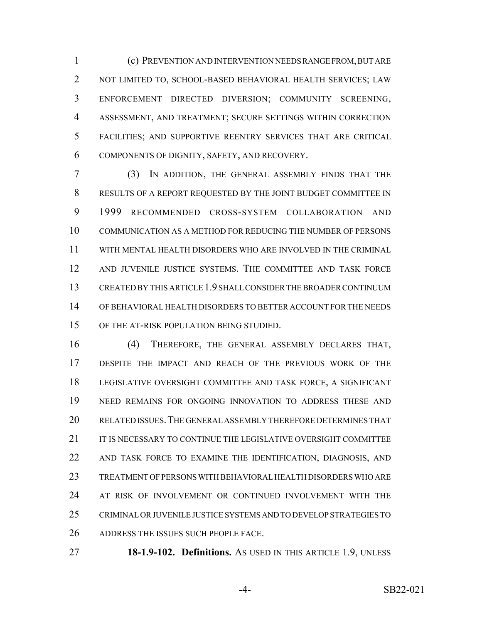(c) PREVENTION AND INTERVENTION NEEDS RANGE FROM, BUT ARE NOT LIMITED TO, SCHOOL-BASED BEHAVIORAL HEALTH SERVICES; LAW ENFORCEMENT DIRECTED DIVERSION; COMMUNITY SCREENING, ASSESSMENT, AND TREATMENT; SECURE SETTINGS WITHIN CORRECTION FACILITIES; AND SUPPORTIVE REENTRY SERVICES THAT ARE CRITICAL COMPONENTS OF DIGNITY, SAFETY, AND RECOVERY.

 (3) IN ADDITION, THE GENERAL ASSEMBLY FINDS THAT THE RESULTS OF A REPORT REQUESTED BY THE JOINT BUDGET COMMITTEE IN 1999 RECOMMENDED CROSS-SYSTEM COLLABORATION AND COMMUNICATION AS A METHOD FOR REDUCING THE NUMBER OF PERSONS WITH MENTAL HEALTH DISORDERS WHO ARE INVOLVED IN THE CRIMINAL AND JUVENILE JUSTICE SYSTEMS. THE COMMITTEE AND TASK FORCE CREATED BY THIS ARTICLE 1.9 SHALL CONSIDER THE BROADER CONTINUUM OF BEHAVIORAL HEALTH DISORDERS TO BETTER ACCOUNT FOR THE NEEDS OF THE AT-RISK POPULATION BEING STUDIED.

 (4) THEREFORE, THE GENERAL ASSEMBLY DECLARES THAT, DESPITE THE IMPACT AND REACH OF THE PREVIOUS WORK OF THE LEGISLATIVE OVERSIGHT COMMITTEE AND TASK FORCE, A SIGNIFICANT NEED REMAINS FOR ONGOING INNOVATION TO ADDRESS THESE AND RELATED ISSUES.THE GENERAL ASSEMBLY THEREFORE DETERMINES THAT IT IS NECESSARY TO CONTINUE THE LEGISLATIVE OVERSIGHT COMMITTEE AND TASK FORCE TO EXAMINE THE IDENTIFICATION, DIAGNOSIS, AND TREATMENT OF PERSONS WITH BEHAVIORAL HEALTH DISORDERS WHO ARE AT RISK OF INVOLVEMENT OR CONTINUED INVOLVEMENT WITH THE CRIMINAL OR JUVENILE JUSTICE SYSTEMS AND TO DEVELOP STRATEGIES TO ADDRESS THE ISSUES SUCH PEOPLE FACE.

**18-1.9-102. Definitions.** AS USED IN THIS ARTICLE 1.9, UNLESS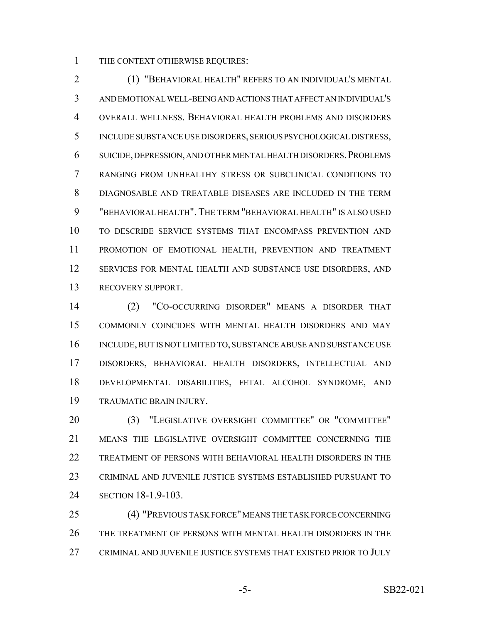THE CONTEXT OTHERWISE REQUIRES:

 (1) "BEHAVIORAL HEALTH" REFERS TO AN INDIVIDUAL'S MENTAL AND EMOTIONAL WELL-BEING AND ACTIONS THAT AFFECT AN INDIVIDUAL'S OVERALL WELLNESS. BEHAVIORAL HEALTH PROBLEMS AND DISORDERS INCLUDE SUBSTANCE USE DISORDERS, SERIOUS PSYCHOLOGICAL DISTRESS, SUICIDE, DEPRESSION, AND OTHER MENTAL HEALTH DISORDERS.PROBLEMS RANGING FROM UNHEALTHY STRESS OR SUBCLINICAL CONDITIONS TO DIAGNOSABLE AND TREATABLE DISEASES ARE INCLUDED IN THE TERM "BEHAVIORAL HEALTH". THE TERM "BEHAVIORAL HEALTH" IS ALSO USED TO DESCRIBE SERVICE SYSTEMS THAT ENCOMPASS PREVENTION AND PROMOTION OF EMOTIONAL HEALTH, PREVENTION AND TREATMENT 12 SERVICES FOR MENTAL HEALTH AND SUBSTANCE USE DISORDERS, AND RECOVERY SUPPORT.

 (2) "CO-OCCURRING DISORDER" MEANS A DISORDER THAT COMMONLY COINCIDES WITH MENTAL HEALTH DISORDERS AND MAY 16 INCLUDE, BUT IS NOT LIMITED TO, SUBSTANCE ABUSE AND SUBSTANCE USE DISORDERS, BEHAVIORAL HEALTH DISORDERS, INTELLECTUAL AND DEVELOPMENTAL DISABILITIES, FETAL ALCOHOL SYNDROME, AND TRAUMATIC BRAIN INJURY.

 (3) "LEGISLATIVE OVERSIGHT COMMITTEE" OR "COMMITTEE" MEANS THE LEGISLATIVE OVERSIGHT COMMITTEE CONCERNING THE TREATMENT OF PERSONS WITH BEHAVIORAL HEALTH DISORDERS IN THE CRIMINAL AND JUVENILE JUSTICE SYSTEMS ESTABLISHED PURSUANT TO SECTION 18-1.9-103.

 (4) "PREVIOUS TASK FORCE" MEANS THE TASK FORCE CONCERNING THE TREATMENT OF PERSONS WITH MENTAL HEALTH DISORDERS IN THE CRIMINAL AND JUVENILE JUSTICE SYSTEMS THAT EXISTED PRIOR TO JULY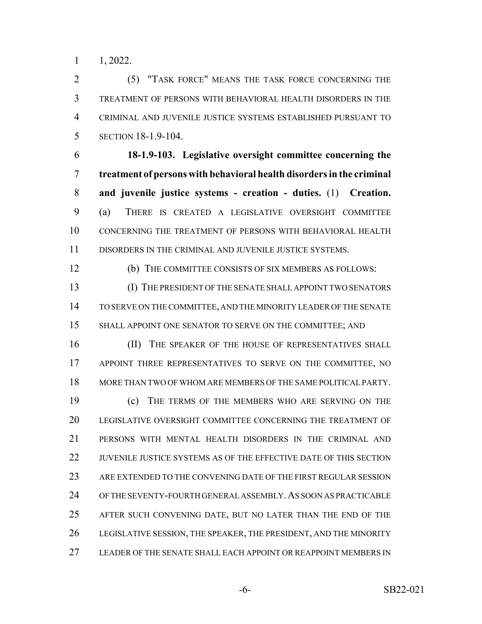1, 2022.

 (5) "TASK FORCE" MEANS THE TASK FORCE CONCERNING THE TREATMENT OF PERSONS WITH BEHAVIORAL HEALTH DISORDERS IN THE CRIMINAL AND JUVENILE JUSTICE SYSTEMS ESTABLISHED PURSUANT TO SECTION 18-1.9-104.

 **18-1.9-103. Legislative oversight committee concerning the treatment of persons with behavioral health disorders in the criminal and juvenile justice systems - creation - duties.** (1) **Creation.** (a) THERE IS CREATED A LEGISLATIVE OVERSIGHT COMMITTEE CONCERNING THE TREATMENT OF PERSONS WITH BEHAVIORAL HEALTH DISORDERS IN THE CRIMINAL AND JUVENILE JUSTICE SYSTEMS.

(b) THE COMMITTEE CONSISTS OF SIX MEMBERS AS FOLLOWS:

 (I) THE PRESIDENT OF THE SENATE SHALL APPOINT TWO SENATORS TO SERVE ON THE COMMITTEE, AND THE MINORITY LEADER OF THE SENATE 15 SHALL APPOINT ONE SENATOR TO SERVE ON THE COMMITTEE; AND

16 (II) THE SPEAKER OF THE HOUSE OF REPRESENTATIVES SHALL 17 APPOINT THREE REPRESENTATIVES TO SERVE ON THE COMMITTEE, NO MORE THAN TWO OF WHOM ARE MEMBERS OF THE SAME POLITICAL PARTY. (c) THE TERMS OF THE MEMBERS WHO ARE SERVING ON THE

 LEGISLATIVE OVERSIGHT COMMITTEE CONCERNING THE TREATMENT OF PERSONS WITH MENTAL HEALTH DISORDERS IN THE CRIMINAL AND JUVENILE JUSTICE SYSTEMS AS OF THE EFFECTIVE DATE OF THIS SECTION ARE EXTENDED TO THE CONVENING DATE OF THE FIRST REGULAR SESSION OF THE SEVENTY-FOURTH GENERAL ASSEMBLY.AS SOON AS PRACTICABLE AFTER SUCH CONVENING DATE, BUT NO LATER THAN THE END OF THE LEGISLATIVE SESSION, THE SPEAKER, THE PRESIDENT, AND THE MINORITY LEADER OF THE SENATE SHALL EACH APPOINT OR REAPPOINT MEMBERS IN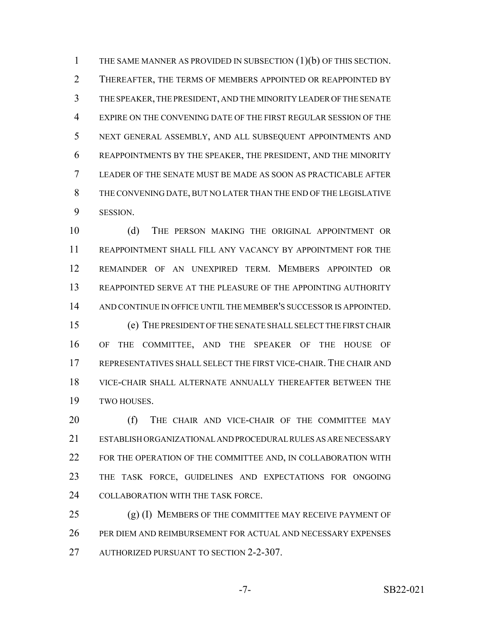THE SAME MANNER AS PROVIDED IN SUBSECTION (1)(b) OF THIS SECTION. THEREAFTER, THE TERMS OF MEMBERS APPOINTED OR REAPPOINTED BY THE SPEAKER, THE PRESIDENT, AND THE MINORITY LEADER OF THE SENATE EXPIRE ON THE CONVENING DATE OF THE FIRST REGULAR SESSION OF THE NEXT GENERAL ASSEMBLY, AND ALL SUBSEQUENT APPOINTMENTS AND REAPPOINTMENTS BY THE SPEAKER, THE PRESIDENT, AND THE MINORITY LEADER OF THE SENATE MUST BE MADE AS SOON AS PRACTICABLE AFTER THE CONVENING DATE, BUT NO LATER THAN THE END OF THE LEGISLATIVE SESSION.

 (d) THE PERSON MAKING THE ORIGINAL APPOINTMENT OR REAPPOINTMENT SHALL FILL ANY VACANCY BY APPOINTMENT FOR THE REMAINDER OF AN UNEXPIRED TERM. MEMBERS APPOINTED OR REAPPOINTED SERVE AT THE PLEASURE OF THE APPOINTING AUTHORITY AND CONTINUE IN OFFICE UNTIL THE MEMBER'S SUCCESSOR IS APPOINTED. (e) THE PRESIDENT OF THE SENATE SHALL SELECT THE FIRST CHAIR OF THE COMMITTEE, AND THE SPEAKER OF THE HOUSE OF REPRESENTATIVES SHALL SELECT THE FIRST VICE-CHAIR. THE CHAIR AND VICE-CHAIR SHALL ALTERNATE ANNUALLY THEREAFTER BETWEEN THE TWO HOUSES.

20 (f) THE CHAIR AND VICE-CHAIR OF THE COMMITTEE MAY ESTABLISH ORGANIZATIONAL AND PROCEDURAL RULES AS ARE NECESSARY FOR THE OPERATION OF THE COMMITTEE AND, IN COLLABORATION WITH THE TASK FORCE, GUIDELINES AND EXPECTATIONS FOR ONGOING 24 COLLABORATION WITH THE TASK FORCE.

 (g) (I) MEMBERS OF THE COMMITTEE MAY RECEIVE PAYMENT OF PER DIEM AND REIMBURSEMENT FOR ACTUAL AND NECESSARY EXPENSES 27 AUTHORIZED PURSUANT TO SECTION 2-2-307.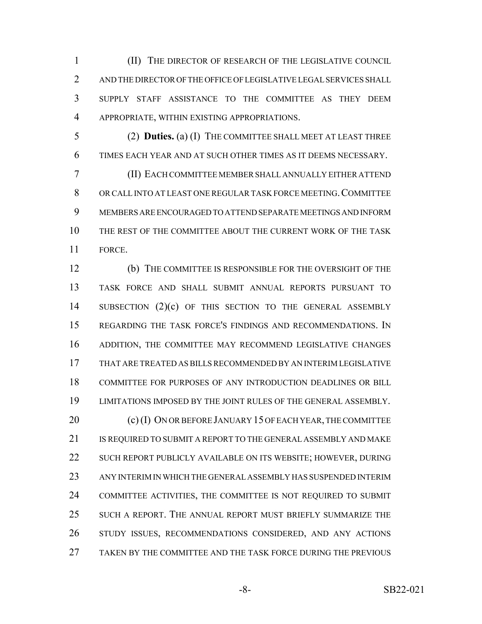(II) THE DIRECTOR OF RESEARCH OF THE LEGISLATIVE COUNCIL AND THE DIRECTOR OF THE OFFICE OF LEGISLATIVE LEGAL SERVICES SHALL SUPPLY STAFF ASSISTANCE TO THE COMMITTEE AS THEY DEEM APPROPRIATE, WITHIN EXISTING APPROPRIATIONS.

 (2) **Duties.** (a) (I) THE COMMITTEE SHALL MEET AT LEAST THREE TIMES EACH YEAR AND AT SUCH OTHER TIMES AS IT DEEMS NECESSARY.

 (II) EACH COMMITTEE MEMBER SHALL ANNUALLY EITHER ATTEND OR CALL INTO AT LEAST ONE REGULAR TASK FORCE MEETING.COMMITTEE MEMBERS ARE ENCOURAGED TO ATTEND SEPARATE MEETINGS AND INFORM THE REST OF THE COMMITTEE ABOUT THE CURRENT WORK OF THE TASK FORCE.

 (b) THE COMMITTEE IS RESPONSIBLE FOR THE OVERSIGHT OF THE TASK FORCE AND SHALL SUBMIT ANNUAL REPORTS PURSUANT TO SUBSECTION (2)(c) OF THIS SECTION TO THE GENERAL ASSEMBLY REGARDING THE TASK FORCE'S FINDINGS AND RECOMMENDATIONS. IN ADDITION, THE COMMITTEE MAY RECOMMEND LEGISLATIVE CHANGES THAT ARE TREATED AS BILLS RECOMMENDED BY AN INTERIM LEGISLATIVE COMMITTEE FOR PURPOSES OF ANY INTRODUCTION DEADLINES OR BILL LIMITATIONS IMPOSED BY THE JOINT RULES OF THE GENERAL ASSEMBLY. 20 (c) (I) ON OR BEFORE JANUARY 15 OF EACH YEAR, THE COMMITTEE IS REQUIRED TO SUBMIT A REPORT TO THE GENERAL ASSEMBLY AND MAKE SUCH REPORT PUBLICLY AVAILABLE ON ITS WEBSITE; HOWEVER, DURING ANY INTERIM IN WHICH THE GENERAL ASSEMBLY HAS SUSPENDED INTERIM COMMITTEE ACTIVITIES, THE COMMITTEE IS NOT REQUIRED TO SUBMIT SUCH A REPORT. THE ANNUAL REPORT MUST BRIEFLY SUMMARIZE THE STUDY ISSUES, RECOMMENDATIONS CONSIDERED, AND ANY ACTIONS TAKEN BY THE COMMITTEE AND THE TASK FORCE DURING THE PREVIOUS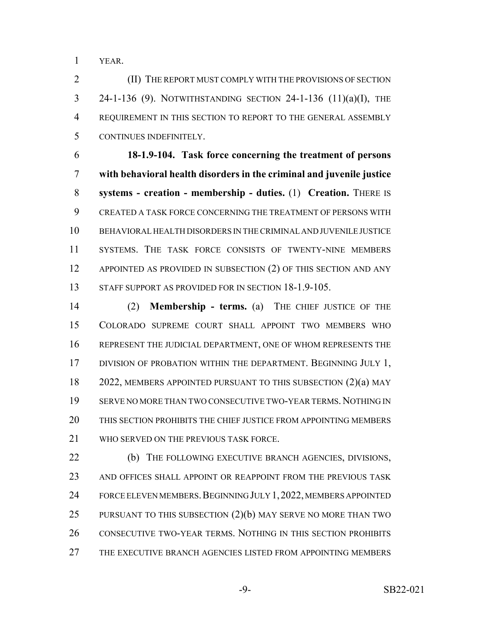YEAR.

 (II) THE REPORT MUST COMPLY WITH THE PROVISIONS OF SECTION 24-1-136 (9). NOTWITHSTANDING SECTION 24-1-136 (11)(a)(I), THE REQUIREMENT IN THIS SECTION TO REPORT TO THE GENERAL ASSEMBLY CONTINUES INDEFINITELY.

 **18-1.9-104. Task force concerning the treatment of persons with behavioral health disorders in the criminal and juvenile justice systems - creation - membership - duties.** (1) **Creation.** THERE IS CREATED A TASK FORCE CONCERNING THE TREATMENT OF PERSONS WITH BEHAVIORAL HEALTH DISORDERS IN THE CRIMINAL AND JUVENILE JUSTICE SYSTEMS. THE TASK FORCE CONSISTS OF TWENTY-NINE MEMBERS 12 APPOINTED AS PROVIDED IN SUBSECTION (2) OF THIS SECTION AND ANY 13 STAFF SUPPORT AS PROVIDED FOR IN SECTION 18-1.9-105.

 (2) **Membership - terms.** (a) THE CHIEF JUSTICE OF THE COLORADO SUPREME COURT SHALL APPOINT TWO MEMBERS WHO REPRESENT THE JUDICIAL DEPARTMENT, ONE OF WHOM REPRESENTS THE 17 DIVISION OF PROBATION WITHIN THE DEPARTMENT. BEGINNING JULY 1, 2022, MEMBERS APPOINTED PURSUANT TO THIS SUBSECTION (2)(a) MAY SERVE NO MORE THAN TWO CONSECUTIVE TWO-YEAR TERMS.NOTHING IN THIS SECTION PROHIBITS THE CHIEF JUSTICE FROM APPOINTING MEMBERS WHO SERVED ON THE PREVIOUS TASK FORCE.

 (b) THE FOLLOWING EXECUTIVE BRANCH AGENCIES, DIVISIONS, 23 AND OFFICES SHALL APPOINT OR REAPPOINT FROM THE PREVIOUS TASK 24 FORCE ELEVEN MEMBERS. BEGINNING JULY 1, 2022, MEMBERS APPOINTED PURSUANT TO THIS SUBSECTION (2)(b) MAY SERVE NO MORE THAN TWO 26 CONSECUTIVE TWO-YEAR TERMS. NOTHING IN THIS SECTION PROHIBITS THE EXECUTIVE BRANCH AGENCIES LISTED FROM APPOINTING MEMBERS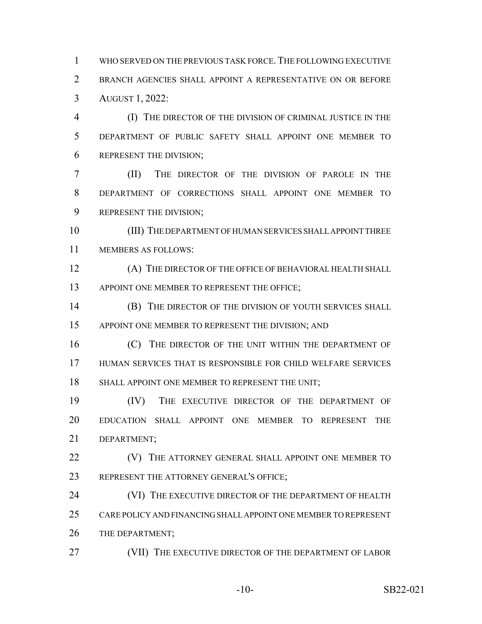WHO SERVED ON THE PREVIOUS TASK FORCE.THE FOLLOWING EXECUTIVE BRANCH AGENCIES SHALL APPOINT A REPRESENTATIVE ON OR BEFORE AUGUST 1, 2022:

 (I) THE DIRECTOR OF THE DIVISION OF CRIMINAL JUSTICE IN THE DEPARTMENT OF PUBLIC SAFETY SHALL APPOINT ONE MEMBER TO REPRESENT THE DIVISION;

 (II) THE DIRECTOR OF THE DIVISION OF PAROLE IN THE DEPARTMENT OF CORRECTIONS SHALL APPOINT ONE MEMBER TO 9 REPRESENT THE DIVISION;

 (III) THE DEPARTMENT OF HUMAN SERVICES SHALL APPOINT THREE MEMBERS AS FOLLOWS:

 (A) THE DIRECTOR OF THE OFFICE OF BEHAVIORAL HEALTH SHALL 13 APPOINT ONE MEMBER TO REPRESENT THE OFFICE;

**(B)** THE DIRECTOR OF THE DIVISION OF YOUTH SERVICES SHALL 15 APPOINT ONE MEMBER TO REPRESENT THE DIVISION; AND

**(C)** THE DIRECTOR OF THE UNIT WITHIN THE DEPARTMENT OF HUMAN SERVICES THAT IS RESPONSIBLE FOR CHILD WELFARE SERVICES SHALL APPOINT ONE MEMBER TO REPRESENT THE UNIT;

 (IV) THE EXECUTIVE DIRECTOR OF THE DEPARTMENT OF EDUCATION SHALL APPOINT ONE MEMBER TO REPRESENT THE DEPARTMENT;

**(V)** THE ATTORNEY GENERAL SHALL APPOINT ONE MEMBER TO 23 REPRESENT THE ATTORNEY GENERAL'S OFFICE;

24 (VI) THE EXECUTIVE DIRECTOR OF THE DEPARTMENT OF HEALTH CARE POLICY AND FINANCING SHALL APPOINT ONE MEMBER TO REPRESENT 26 THE DEPARTMENT;

27 (VII) THE EXECUTIVE DIRECTOR OF THE DEPARTMENT OF LABOR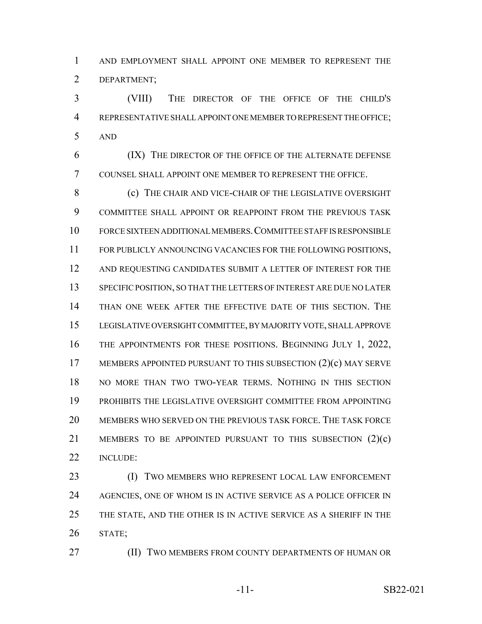AND EMPLOYMENT SHALL APPOINT ONE MEMBER TO REPRESENT THE DEPARTMENT;

 (VIII) THE DIRECTOR OF THE OFFICE OF THE CHILD'S REPRESENTATIVE SHALL APPOINT ONE MEMBER TO REPRESENT THE OFFICE; AND

 (IX) THE DIRECTOR OF THE OFFICE OF THE ALTERNATE DEFENSE COUNSEL SHALL APPOINT ONE MEMBER TO REPRESENT THE OFFICE.

 (c) THE CHAIR AND VICE-CHAIR OF THE LEGISLATIVE OVERSIGHT COMMITTEE SHALL APPOINT OR REAPPOINT FROM THE PREVIOUS TASK FORCE SIXTEEN ADDITIONAL MEMBERS.COMMITTEE STAFF IS RESPONSIBLE FOR PUBLICLY ANNOUNCING VACANCIES FOR THE FOLLOWING POSITIONS, 12 AND REQUESTING CANDIDATES SUBMIT A LETTER OF INTEREST FOR THE SPECIFIC POSITION, SO THAT THE LETTERS OF INTEREST ARE DUE NO LATER THAN ONE WEEK AFTER THE EFFECTIVE DATE OF THIS SECTION. THE LEGISLATIVE OVERSIGHT COMMITTEE, BY MAJORITY VOTE, SHALL APPROVE THE APPOINTMENTS FOR THESE POSITIONS. BEGINNING JULY 1, 2022, 17 MEMBERS APPOINTED PURSUANT TO THIS SUBSECTION (2)(c) MAY SERVE NO MORE THAN TWO TWO-YEAR TERMS. NOTHING IN THIS SECTION PROHIBITS THE LEGISLATIVE OVERSIGHT COMMITTEE FROM APPOINTING MEMBERS WHO SERVED ON THE PREVIOUS TASK FORCE. THE TASK FORCE MEMBERS TO BE APPOINTED PURSUANT TO THIS SUBSECTION (2)(c) INCLUDE:

 (I) TWO MEMBERS WHO REPRESENT LOCAL LAW ENFORCEMENT 24 AGENCIES, ONE OF WHOM IS IN ACTIVE SERVICE AS A POLICE OFFICER IN THE STATE, AND THE OTHER IS IN ACTIVE SERVICE AS A SHERIFF IN THE STATE;

**(II) TWO MEMBERS FROM COUNTY DEPARTMENTS OF HUMAN OR** 

-11- SB22-021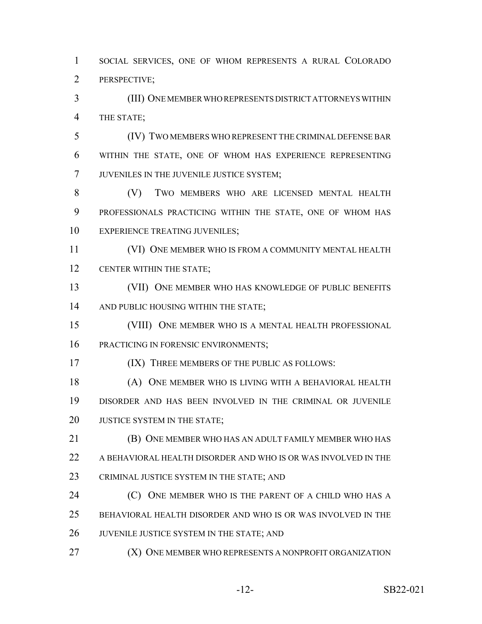SOCIAL SERVICES, ONE OF WHOM REPRESENTS A RURAL COLORADO PERSPECTIVE;

 (III) ONE MEMBER WHO REPRESENTS DISTRICT ATTORNEYS WITHIN THE STATE;

 (IV) TWO MEMBERS WHO REPRESENT THE CRIMINAL DEFENSE BAR WITHIN THE STATE, ONE OF WHOM HAS EXPERIENCE REPRESENTING JUVENILES IN THE JUVENILE JUSTICE SYSTEM;

 (V) TWO MEMBERS WHO ARE LICENSED MENTAL HEALTH PROFESSIONALS PRACTICING WITHIN THE STATE, ONE OF WHOM HAS 10 EXPERIENCE TREATING JUVENILES:

 (VI) ONE MEMBER WHO IS FROM A COMMUNITY MENTAL HEALTH CENTER WITHIN THE STATE;

 (VII) ONE MEMBER WHO HAS KNOWLEDGE OF PUBLIC BENEFITS 14 AND PUBLIC HOUSING WITHIN THE STATE;

 (VIII) ONE MEMBER WHO IS A MENTAL HEALTH PROFESSIONAL 16 PRACTICING IN FORENSIC ENVIRONMENTS;

(IX) THREE MEMBERS OF THE PUBLIC AS FOLLOWS:

 (A) ONE MEMBER WHO IS LIVING WITH A BEHAVIORAL HEALTH DISORDER AND HAS BEEN INVOLVED IN THE CRIMINAL OR JUVENILE 20 JUSTICE SYSTEM IN THE STATE;

 (B) ONE MEMBER WHO HAS AN ADULT FAMILY MEMBER WHO HAS A BEHAVIORAL HEALTH DISORDER AND WHO IS OR WAS INVOLVED IN THE 23 CRIMINAL JUSTICE SYSTEM IN THE STATE; AND

**(C)** ONE MEMBER WHO IS THE PARENT OF A CHILD WHO HAS A BEHAVIORAL HEALTH DISORDER AND WHO IS OR WAS INVOLVED IN THE 26 JUVENILE JUSTICE SYSTEM IN THE STATE; AND

**(X) ONE MEMBER WHO REPRESENTS A NONPROFIT ORGANIZATION**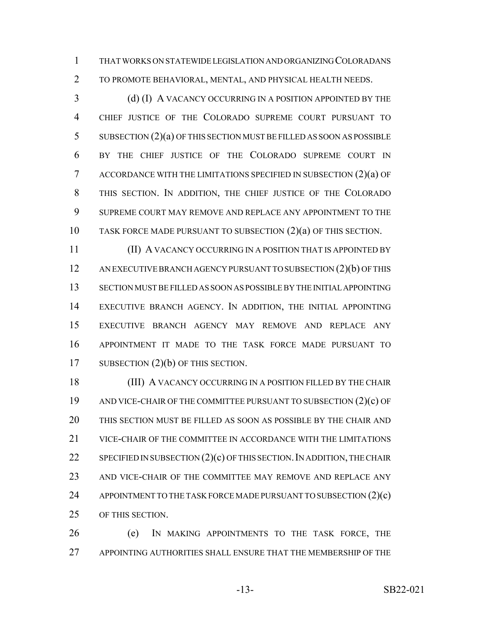THAT WORKS ON STATEWIDE LEGISLATION AND ORGANIZING COLORADANS TO PROMOTE BEHAVIORAL, MENTAL, AND PHYSICAL HEALTH NEEDS.

3 (d) (I) A VACANCY OCCURRING IN A POSITION APPOINTED BY THE CHIEF JUSTICE OF THE COLORADO SUPREME COURT PURSUANT TO SUBSECTION (2)(a) OF THIS SECTION MUST BE FILLED AS SOON AS POSSIBLE BY THE CHIEF JUSTICE OF THE COLORADO SUPREME COURT IN ACCORDANCE WITH THE LIMITATIONS SPECIFIED IN SUBSECTION (2)(a) OF THIS SECTION. IN ADDITION, THE CHIEF JUSTICE OF THE COLORADO SUPREME COURT MAY REMOVE AND REPLACE ANY APPOINTMENT TO THE TASK FORCE MADE PURSUANT TO SUBSECTION (2)(a) OF THIS SECTION.

 (II) A VACANCY OCCURRING IN A POSITION THAT IS APPOINTED BY AN EXECUTIVE BRANCH AGENCY PURSUANT TO SUBSECTION (2)(b) OF THIS SECTION MUST BE FILLED AS SOON AS POSSIBLE BY THE INITIAL APPOINTING EXECUTIVE BRANCH AGENCY. IN ADDITION, THE INITIAL APPOINTING EXECUTIVE BRANCH AGENCY MAY REMOVE AND REPLACE ANY APPOINTMENT IT MADE TO THE TASK FORCE MADE PURSUANT TO 17 SUBSECTION (2)(b) OF THIS SECTION.

 (III) A VACANCY OCCURRING IN A POSITION FILLED BY THE CHAIR AND VICE-CHAIR OF THE COMMITTEE PURSUANT TO SUBSECTION (2)(c) OF THIS SECTION MUST BE FILLED AS SOON AS POSSIBLE BY THE CHAIR AND VICE-CHAIR OF THE COMMITTEE IN ACCORDANCE WITH THE LIMITATIONS 22 SPECIFIED IN SUBSECTION  $(2)(c)$  OF THIS SECTION. IN ADDITION, THE CHAIR 23 AND VICE-CHAIR OF THE COMMITTEE MAY REMOVE AND REPLACE ANY 24 APPOINTMENT TO THE TASK FORCE MADE PURSUANT TO SUBSECTION (2)(c) OF THIS SECTION.

 (e) IN MAKING APPOINTMENTS TO THE TASK FORCE, THE APPOINTING AUTHORITIES SHALL ENSURE THAT THE MEMBERSHIP OF THE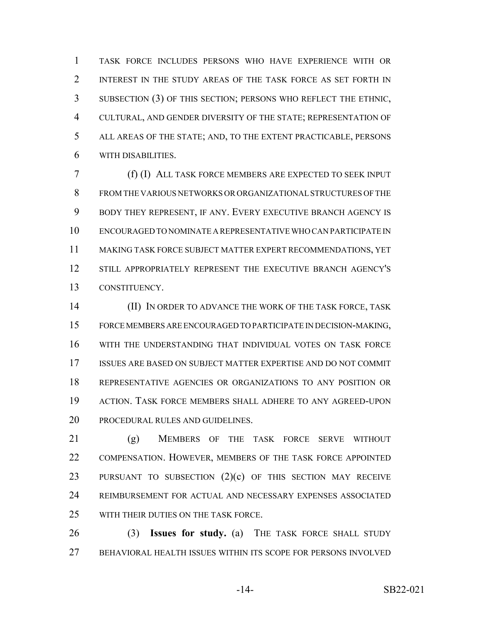TASK FORCE INCLUDES PERSONS WHO HAVE EXPERIENCE WITH OR INTEREST IN THE STUDY AREAS OF THE TASK FORCE AS SET FORTH IN SUBSECTION (3) OF THIS SECTION; PERSONS WHO REFLECT THE ETHNIC, CULTURAL, AND GENDER DIVERSITY OF THE STATE; REPRESENTATION OF ALL AREAS OF THE STATE; AND, TO THE EXTENT PRACTICABLE, PERSONS WITH DISABILITIES.

 (f) (I) ALL TASK FORCE MEMBERS ARE EXPECTED TO SEEK INPUT FROM THE VARIOUS NETWORKS OR ORGANIZATIONAL STRUCTURES OF THE BODY THEY REPRESENT, IF ANY. EVERY EXECUTIVE BRANCH AGENCY IS ENCOURAGED TO NOMINATE A REPRESENTATIVE WHO CAN PARTICIPATE IN MAKING TASK FORCE SUBJECT MATTER EXPERT RECOMMENDATIONS, YET STILL APPROPRIATELY REPRESENT THE EXECUTIVE BRANCH AGENCY'S CONSTITUENCY.

 (II) IN ORDER TO ADVANCE THE WORK OF THE TASK FORCE, TASK FORCE MEMBERS ARE ENCOURAGED TO PARTICIPATE IN DECISION-MAKING, WITH THE UNDERSTANDING THAT INDIVIDUAL VOTES ON TASK FORCE ISSUES ARE BASED ON SUBJECT MATTER EXPERTISE AND DO NOT COMMIT REPRESENTATIVE AGENCIES OR ORGANIZATIONS TO ANY POSITION OR ACTION. TASK FORCE MEMBERS SHALL ADHERE TO ANY AGREED-UPON PROCEDURAL RULES AND GUIDELINES.

 (g) MEMBERS OF THE TASK FORCE SERVE WITHOUT 22 COMPENSATION. HOWEVER, MEMBERS OF THE TASK FORCE APPOINTED 23 PURSUANT TO SUBSECTION (2)(c) OF THIS SECTION MAY RECEIVE REIMBURSEMENT FOR ACTUAL AND NECESSARY EXPENSES ASSOCIATED WITH THEIR DUTIES ON THE TASK FORCE.

 (3) **Issues for study.** (a) THE TASK FORCE SHALL STUDY BEHAVIORAL HEALTH ISSUES WITHIN ITS SCOPE FOR PERSONS INVOLVED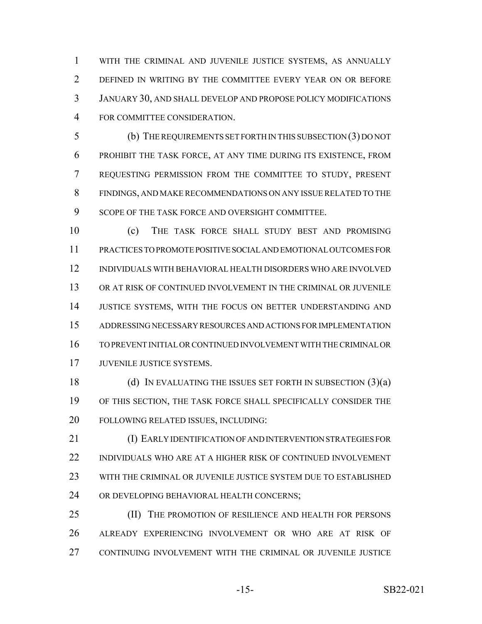WITH THE CRIMINAL AND JUVENILE JUSTICE SYSTEMS, AS ANNUALLY DEFINED IN WRITING BY THE COMMITTEE EVERY YEAR ON OR BEFORE JANUARY 30, AND SHALL DEVELOP AND PROPOSE POLICY MODIFICATIONS FOR COMMITTEE CONSIDERATION.

 (b) THE REQUIREMENTS SET FORTH IN THIS SUBSECTION (3) DO NOT PROHIBIT THE TASK FORCE, AT ANY TIME DURING ITS EXISTENCE, FROM REQUESTING PERMISSION FROM THE COMMITTEE TO STUDY, PRESENT FINDINGS, AND MAKE RECOMMENDATIONS ON ANY ISSUE RELATED TO THE 9 SCOPE OF THE TASK FORCE AND OVERSIGHT COMMITTEE.

 (c) THE TASK FORCE SHALL STUDY BEST AND PROMISING PRACTICES TO PROMOTE POSITIVE SOCIAL AND EMOTIONAL OUTCOMES FOR INDIVIDUALS WITH BEHAVIORAL HEALTH DISORDERS WHO ARE INVOLVED OR AT RISK OF CONTINUED INVOLVEMENT IN THE CRIMINAL OR JUVENILE JUSTICE SYSTEMS, WITH THE FOCUS ON BETTER UNDERSTANDING AND ADDRESSING NECESSARY RESOURCES AND ACTIONS FOR IMPLEMENTATION TO PREVENT INITIAL OR CONTINUED INVOLVEMENT WITH THE CRIMINAL OR JUVENILE JUSTICE SYSTEMS.

18 (d) IN EVALUATING THE ISSUES SET FORTH IN SUBSECTION (3)(a) OF THIS SECTION, THE TASK FORCE SHALL SPECIFICALLY CONSIDER THE FOLLOWING RELATED ISSUES, INCLUDING:

 (I) EARLY IDENTIFICATION OF AND INTERVENTION STRATEGIES FOR INDIVIDUALS WHO ARE AT A HIGHER RISK OF CONTINUED INVOLVEMENT WITH THE CRIMINAL OR JUVENILE JUSTICE SYSTEM DUE TO ESTABLISHED 24 OR DEVELOPING BEHAVIORAL HEALTH CONCERNS;

**(II)** THE PROMOTION OF RESILIENCE AND HEALTH FOR PERSONS ALREADY EXPERIENCING INVOLVEMENT OR WHO ARE AT RISK OF CONTINUING INVOLVEMENT WITH THE CRIMINAL OR JUVENILE JUSTICE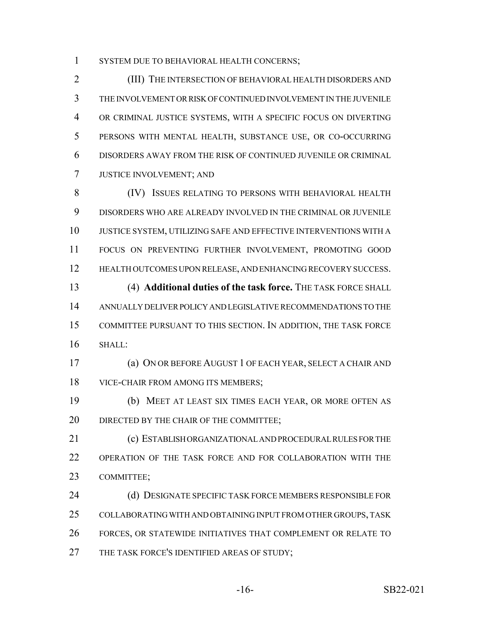1 SYSTEM DUE TO BEHAVIORAL HEALTH CONCERNS;

 (III) THE INTERSECTION OF BEHAVIORAL HEALTH DISORDERS AND THE INVOLVEMENT OR RISK OF CONTINUED INVOLVEMENT IN THE JUVENILE OR CRIMINAL JUSTICE SYSTEMS, WITH A SPECIFIC FOCUS ON DIVERTING PERSONS WITH MENTAL HEALTH, SUBSTANCE USE, OR CO-OCCURRING DISORDERS AWAY FROM THE RISK OF CONTINUED JUVENILE OR CRIMINAL JUSTICE INVOLVEMENT; AND

 (IV) ISSUES RELATING TO PERSONS WITH BEHAVIORAL HEALTH DISORDERS WHO ARE ALREADY INVOLVED IN THE CRIMINAL OR JUVENILE JUSTICE SYSTEM, UTILIZING SAFE AND EFFECTIVE INTERVENTIONS WITH A FOCUS ON PREVENTING FURTHER INVOLVEMENT, PROMOTING GOOD HEALTH OUTCOMES UPON RELEASE, AND ENHANCING RECOVERY SUCCESS. (4) **Additional duties of the task force.** THE TASK FORCE SHALL ANNUALLY DELIVER POLICY AND LEGISLATIVE RECOMMENDATIONS TO THE

 COMMITTEE PURSUANT TO THIS SECTION. IN ADDITION, THE TASK FORCE SHALL:

 (a) ON OR BEFORE AUGUST 1 OF EACH YEAR, SELECT A CHAIR AND VICE-CHAIR FROM AMONG ITS MEMBERS;

 (b) MEET AT LEAST SIX TIMES EACH YEAR, OR MORE OFTEN AS 20 DIRECTED BY THE CHAIR OF THE COMMITTEE;

 (c) ESTABLISH ORGANIZATIONAL AND PROCEDURAL RULES FOR THE OPERATION OF THE TASK FORCE AND FOR COLLABORATION WITH THE COMMITTEE;

24 (d) DESIGNATE SPECIFIC TASK FORCE MEMBERS RESPONSIBLE FOR COLLABORATING WITH AND OBTAINING INPUT FROM OTHER GROUPS, TASK FORCES, OR STATEWIDE INITIATIVES THAT COMPLEMENT OR RELATE TO 27 THE TASK FORCE'S IDENTIFIED AREAS OF STUDY;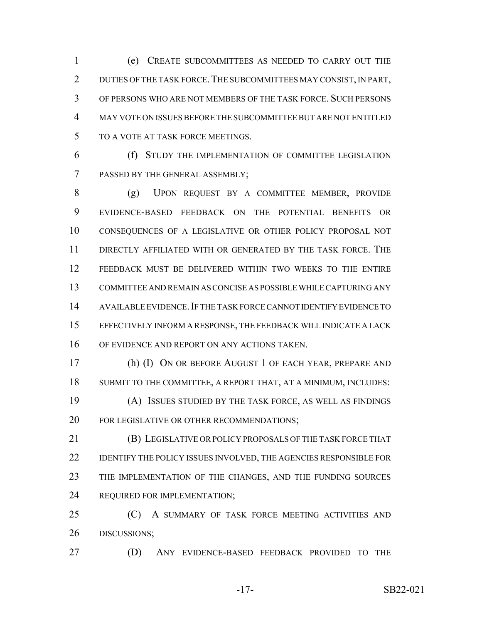(e) CREATE SUBCOMMITTEES AS NEEDED TO CARRY OUT THE 2 DUTIES OF THE TASK FORCE. THE SUBCOMMITTEES MAY CONSIST, IN PART, OF PERSONS WHO ARE NOT MEMBERS OF THE TASK FORCE. SUCH PERSONS MAY VOTE ON ISSUES BEFORE THE SUBCOMMITTEE BUT ARE NOT ENTITLED TO A VOTE AT TASK FORCE MEETINGS.

 (f) STUDY THE IMPLEMENTATION OF COMMITTEE LEGISLATION PASSED BY THE GENERAL ASSEMBLY;

 (g) UPON REQUEST BY A COMMITTEE MEMBER, PROVIDE EVIDENCE-BASED FEEDBACK ON THE POTENTIAL BENEFITS OR CONSEQUENCES OF A LEGISLATIVE OR OTHER POLICY PROPOSAL NOT DIRECTLY AFFILIATED WITH OR GENERATED BY THE TASK FORCE. THE FEEDBACK MUST BE DELIVERED WITHIN TWO WEEKS TO THE ENTIRE COMMITTEE AND REMAIN AS CONCISE AS POSSIBLE WHILE CAPTURING ANY AVAILABLE EVIDENCE.IF THE TASK FORCE CANNOT IDENTIFY EVIDENCE TO EFFECTIVELY INFORM A RESPONSE, THE FEEDBACK WILL INDICATE A LACK OF EVIDENCE AND REPORT ON ANY ACTIONS TAKEN.

 (h) (I) ON OR BEFORE AUGUST 1 OF EACH YEAR, PREPARE AND SUBMIT TO THE COMMITTEE, A REPORT THAT, AT A MINIMUM, INCLUDES: (A) ISSUES STUDIED BY THE TASK FORCE, AS WELL AS FINDINGS FOR LEGISLATIVE OR OTHER RECOMMENDATIONS;

 (B) LEGISLATIVE OR POLICY PROPOSALS OF THE TASK FORCE THAT 22 IDENTIFY THE POLICY ISSUES INVOLVED, THE AGENCIES RESPONSIBLE FOR THE IMPLEMENTATION OF THE CHANGES, AND THE FUNDING SOURCES REQUIRED FOR IMPLEMENTATION;

 (C) A SUMMARY OF TASK FORCE MEETING ACTIVITIES AND DISCUSSIONS;

(D) ANY EVIDENCE-BASED FEEDBACK PROVIDED TO THE

-17- SB22-021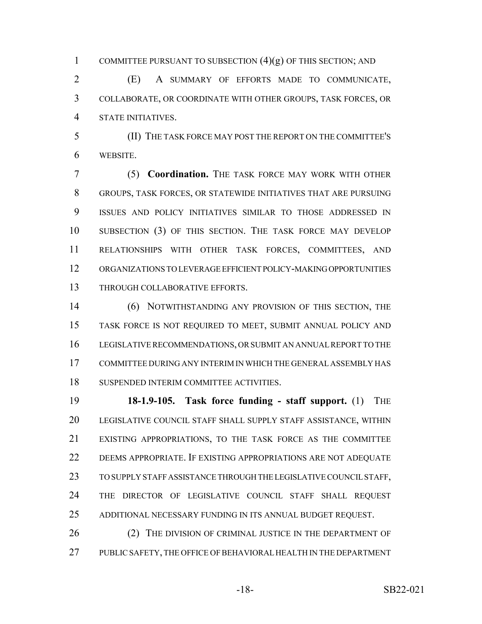1 COMMITTEE PURSUANT TO SUBSECTION  $(4)(g)$  OF THIS SECTION; AND

 (E) A SUMMARY OF EFFORTS MADE TO COMMUNICATE, COLLABORATE, OR COORDINATE WITH OTHER GROUPS, TASK FORCES, OR STATE INITIATIVES.

 (II) THE TASK FORCE MAY POST THE REPORT ON THE COMMITTEE'S WEBSITE.

 (5) **Coordination.** THE TASK FORCE MAY WORK WITH OTHER GROUPS, TASK FORCES, OR STATEWIDE INITIATIVES THAT ARE PURSUING ISSUES AND POLICY INITIATIVES SIMILAR TO THOSE ADDRESSED IN SUBSECTION (3) OF THIS SECTION. THE TASK FORCE MAY DEVELOP RELATIONSHIPS WITH OTHER TASK FORCES, COMMITTEES, AND ORGANIZATIONS TO LEVERAGE EFFICIENT POLICY-MAKING OPPORTUNITIES THROUGH COLLABORATIVE EFFORTS.

 (6) NOTWITHSTANDING ANY PROVISION OF THIS SECTION, THE TASK FORCE IS NOT REQUIRED TO MEET, SUBMIT ANNUAL POLICY AND LEGISLATIVE RECOMMENDATIONS, OR SUBMIT AN ANNUAL REPORT TO THE COMMITTEE DURING ANY INTERIM IN WHICH THE GENERAL ASSEMBLY HAS SUSPENDED INTERIM COMMITTEE ACTIVITIES.

 **18-1.9-105. Task force funding - staff support.** (1) THE LEGISLATIVE COUNCIL STAFF SHALL SUPPLY STAFF ASSISTANCE, WITHIN EXISTING APPROPRIATIONS, TO THE TASK FORCE AS THE COMMITTEE 22 DEEMS APPROPRIATE. IF EXISTING APPROPRIATIONS ARE NOT ADEQUATE TO SUPPLY STAFF ASSISTANCE THROUGH THE LEGISLATIVE COUNCIL STAFF, THE DIRECTOR OF LEGISLATIVE COUNCIL STAFF SHALL REQUEST ADDITIONAL NECESSARY FUNDING IN ITS ANNUAL BUDGET REQUEST.

26 (2) THE DIVISION OF CRIMINAL JUSTICE IN THE DEPARTMENT OF PUBLIC SAFETY, THE OFFICE OF BEHAVIORAL HEALTH IN THE DEPARTMENT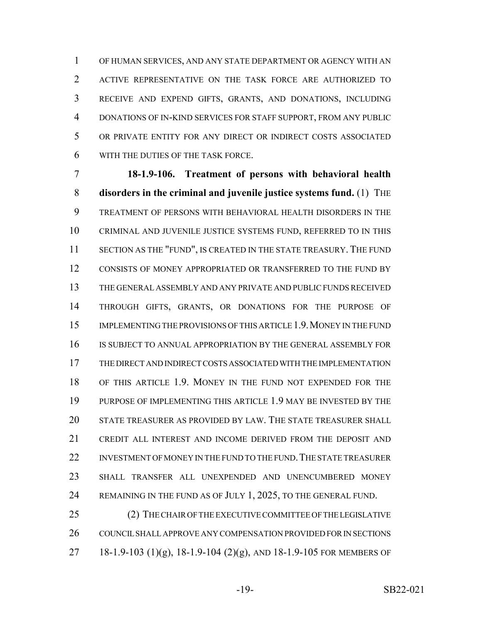OF HUMAN SERVICES, AND ANY STATE DEPARTMENT OR AGENCY WITH AN ACTIVE REPRESENTATIVE ON THE TASK FORCE ARE AUTHORIZED TO RECEIVE AND EXPEND GIFTS, GRANTS, AND DONATIONS, INCLUDING DONATIONS OF IN-KIND SERVICES FOR STAFF SUPPORT, FROM ANY PUBLIC OR PRIVATE ENTITY FOR ANY DIRECT OR INDIRECT COSTS ASSOCIATED WITH THE DUTIES OF THE TASK FORCE.

 **18-1.9-106. Treatment of persons with behavioral health disorders in the criminal and juvenile justice systems fund.** (1) THE TREATMENT OF PERSONS WITH BEHAVIORAL HEALTH DISORDERS IN THE CRIMINAL AND JUVENILE JUSTICE SYSTEMS FUND, REFERRED TO IN THIS SECTION AS THE "FUND", IS CREATED IN THE STATE TREASURY. THE FUND CONSISTS OF MONEY APPROPRIATED OR TRANSFERRED TO THE FUND BY THE GENERAL ASSEMBLY AND ANY PRIVATE AND PUBLIC FUNDS RECEIVED THROUGH GIFTS, GRANTS, OR DONATIONS FOR THE PURPOSE OF IMPLEMENTING THE PROVISIONS OF THIS ARTICLE 1.9.MONEY IN THE FUND IS SUBJECT TO ANNUAL APPROPRIATION BY THE GENERAL ASSEMBLY FOR THE DIRECT AND INDIRECT COSTS ASSOCIATED WITH THE IMPLEMENTATION OF THIS ARTICLE 1.9. MONEY IN THE FUND NOT EXPENDED FOR THE PURPOSE OF IMPLEMENTING THIS ARTICLE 1.9 MAY BE INVESTED BY THE STATE TREASURER AS PROVIDED BY LAW. THE STATE TREASURER SHALL CREDIT ALL INTEREST AND INCOME DERIVED FROM THE DEPOSIT AND 22 INVESTMENT OF MONEY IN THE FUND TO THE FUND. THE STATE TREASURER SHALL TRANSFER ALL UNEXPENDED AND UNENCUMBERED MONEY 24 REMAINING IN THE FUND AS OF JULY 1, 2025, TO THE GENERAL FUND.

 (2) THE CHAIR OF THE EXECUTIVE COMMITTEE OF THE LEGISLATIVE COUNCIL SHALL APPROVE ANY COMPENSATION PROVIDED FOR IN SECTIONS 27 18-1.9-103 (1)(g), 18-1.9-104 (2)(g), AND 18-1.9-105 FOR MEMBERS OF